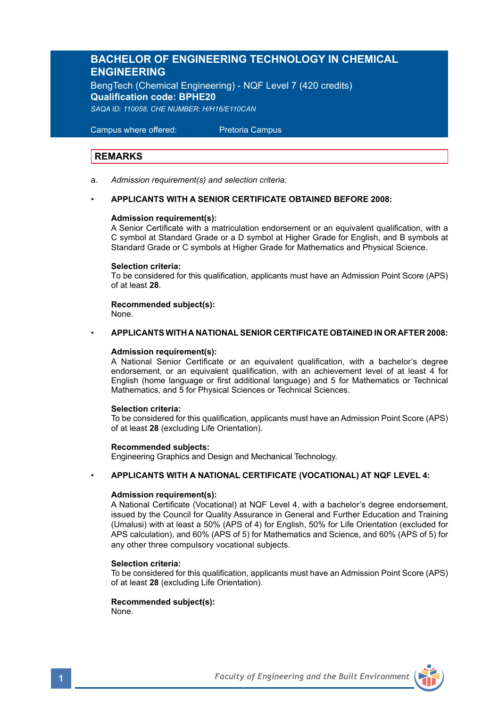# **BACHELOR OF ENGINEERING TECHNOLOGY IN CHEMICAL ENGINEERING**

BengTech (Chemical Engineering) - NQF Level 7 (420 credits) **Qualification code: BPHE20** *SAQA ID: 110058, CHE NUMBER: H/H16/E110CAN* 

 Campus where offered: Pretoria Campus

## **REMARKS**

a. *Admission requirement(s) and selection criteria:*

### • **APPLICANTS WITH A SENIOR CERTIFICATE OBTAINED BEFORE 2008:**

### **Admission requirement(s):**

A Senior Certificate with a matriculation endorsement or an equivalent qualification, with a C symbol at Standard Grade or a D symbol at Higher Grade for English, and B symbols at Standard Grade or C symbols at Higher Grade for Mathematics and Physical Science.

### **Selection criteria:**

To be considered for this qualification, applicants must have an Admission Point Score (APS) of at least **28**.

**Recommended subject(s):** None.

### • **APPLICANTS WITH A NATIONAL SENIOR CERTIFICATE OBTAINED IN OR AFTER 2008:**

### **Admission requirement(s):**

A National Senior Certificate or an equivalent qualification, with a bachelor's degree endorsement, or an equivalent qualification, with an achievement level of at least 4 for English (home language or first additional language) and 5 for Mathematics or Technical Mathematics, and 5 for Physical Sciences or Technical Sciences.

### **Selection criteria:**

To be considered for this qualification, applicants must have an Admission Point Score (APS) of at least **28** (excluding Life Orientation).

### **Recommended subjects:**

Engineering Graphics and Design and Mechanical Technology.

### • **APPLICANTS WITH A NATIONAL CERTIFICATE (VOCATIONAL) AT NQF LEVEL 4:**

### **Admission requirement(s):**

A National Certificate (Vocational) at NQF Level 4, with a bachelor's degree endorsement, issued by the Council for Quality Assurance in General and Further Education and Training (Umalusi) with at least a 50% (APS of 4) for English, 50% for Life Orientation (excluded for APS calculation), and 60% (APS of 5) for Mathematics and Science, and 60% (APS of 5) for any other three compulsory vocational subjects.

### **Selection criteria:**

To be considered for this qualification, applicants must have an Admission Point Score (APS) of at least **28** (excluding Life Orientation).

### **Recommended subject(s):** None.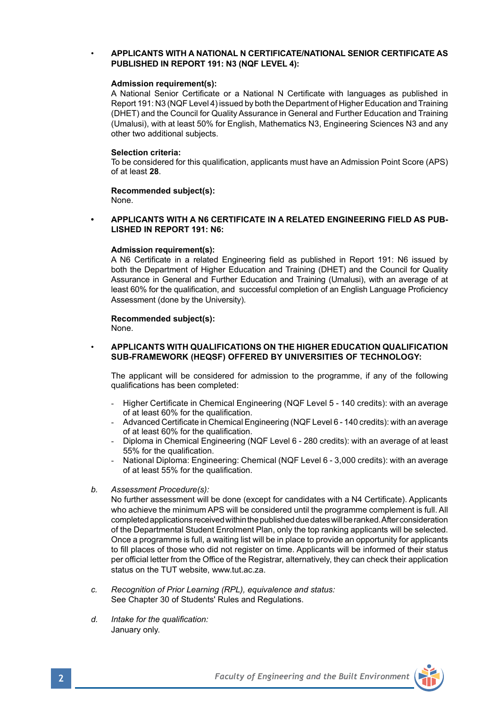### • **APPLICANTS WITH A NATIONAL N CERTIFICATE/NATIONAL SENIOR CERTIFICATE AS PUBLISHED IN REPORT 191: N3 (NQF LEVEL 4):**

### **Admission requirement(s):**

A National Senior Certificate or a National N Certificate with languages as published in Report 191: N3 (NQF Level 4) issued by both the Department of Higher Education and Training (DHET) and the Council for Quality Assurance in General and Further Education and Training (Umalusi), with at least 50% for English, Mathematics N3, Engineering Sciences N3 and any other two additional subjects.

### **Selection criteria:**

To be considered for this qualification, applicants must have an Admission Point Score (APS) of at least **28**.

### **Recommended subject(s):** None.

**• APPLICANTS WITH A N6 CERTIFICATE IN A RELATED ENGINEERING FIELD AS PUB-LISHED IN REPORT 191: N6:**

### **Admission requirement(s):**

A N6 Certificate in a related Engineering field as published in Report 191: N6 issued by both the Department of Higher Education and Training (DHET) and the Council for Quality Assurance in General and Further Education and Training (Umalusi), with an average of at least 60% for the qualification, and successful completion of an English Language Proficiency Assessment (done by the University).

# **Recommended subject(s):**

None.

### • **APPLICANTS WITH QUALIFICATIONS ON THE HIGHER EDUCATION QUALIFICATION SUB-FRAMEWORK (HEQSF) OFFERED BY UNIVERSITIES OF TECHNOLOGY:**

The applicant will be considered for admission to the programme, if any of the following qualifications has been completed:

- Higher Certificate in Chemical Engineering (NQF Level 5 140 credits): with an average of at least 60% for the qualification.
- Advanced Certificate in Chemical Engineering (NQF Level 6 140 credits): with an average of at least 60% for the qualification.
- Diploma in Chemical Engineering (NQF Level 6 280 credits): with an average of at least 55% for the qualification.
- National Diploma: Engineering: Chemical (NQF Level 6 3,000 credits): with an average of at least 55% for the qualification.
- *b. Assessment Procedure(s):*

No further assessment will be done (except for candidates with a N4 Certificate). Applicants who achieve the minimum APS will be considered until the programme complement is full. All completed applications received within the published due dates will be ranked. After consideration of the Departmental Student Enrolment Plan, only the top ranking applicants will be selected. Once a programme is full, a waiting list will be in place to provide an opportunity for applicants to fill places of those who did not register on time. Applicants will be informed of their status per official letter from the Office of the Registrar, alternatively, they can check their application status on the TUT website, www.tut.ac.za.

- *c. Recognition of Prior Learning (RPL), equivalence and status:* See Chapter 30 of Students' Rules and Regulations.
- *d. Intake for the qualification:* January only.

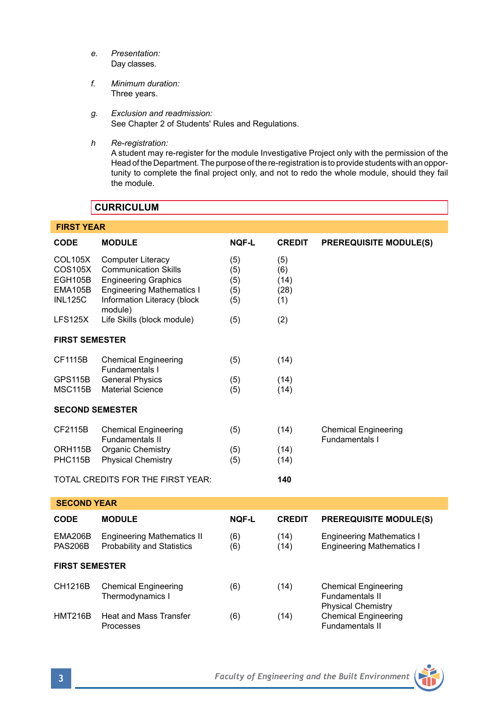- *e. Presentation:* Day classes.
- *f. Minimum duration:* Three years.
- *g. Exclusion and readmission:* See Chapter 2 of Students' Rules and Regulations.
- *h Re-registration:*

A student may re-register for the module Investigative Project only with the permission of the Head of the Department. The purpose of the re-registration is to provide students with an opportunity to complete the final project only, and not to redo the whole module, should they fail the module.

# **CURRICULUM**

| <b>FIRST YEAR</b>                                                 |                                                                                                                                                                      |                                 |                                   |                                                                             |  |  |  |
|-------------------------------------------------------------------|----------------------------------------------------------------------------------------------------------------------------------------------------------------------|---------------------------------|-----------------------------------|-----------------------------------------------------------------------------|--|--|--|
| <b>CODE</b>                                                       | <b>MODULE</b>                                                                                                                                                        | <b>NOF-L</b>                    | <b>CREDIT</b>                     | <b>PREREQUISITE MODULE(S)</b>                                               |  |  |  |
| <b>COL105X</b><br>COS105X<br>EGH105B<br>EMA105B<br><b>INL125C</b> | <b>Computer Literacy</b><br><b>Communication Skills</b><br><b>Engineering Graphics</b><br><b>Engineering Mathematics I</b><br>Information Literacy (block<br>module) | (5)<br>(5)<br>(5)<br>(5)<br>(5) | (5)<br>(6)<br>(14)<br>(28)<br>(1) |                                                                             |  |  |  |
| LFS125X                                                           | Life Skills (block module)                                                                                                                                           | (5)                             | (2)                               |                                                                             |  |  |  |
| <b>FIRST SEMESTER</b>                                             |                                                                                                                                                                      |                                 |                                   |                                                                             |  |  |  |
| CF1115B                                                           | <b>Chemical Engineering</b><br>Fundamentals I                                                                                                                        | (5)                             | (14)                              |                                                                             |  |  |  |
| GPS115B<br><b>MSC115B</b>                                         | <b>General Physics</b><br>Material Science                                                                                                                           | (5)<br>(5)                      | (14)<br>(14)                      |                                                                             |  |  |  |
| <b>SECOND SEMESTER</b>                                            |                                                                                                                                                                      |                                 |                                   |                                                                             |  |  |  |
| CF2115B                                                           | <b>Chemical Engineering</b><br><b>Fundamentals II</b>                                                                                                                | (5)                             | (14)                              | <b>Chemical Engineering</b><br>Fundamentals I                               |  |  |  |
| ORH115B<br>PHC115B                                                | Organic Chemistry<br><b>Physical Chemistry</b>                                                                                                                       | (5)<br>(5)                      | (14)<br>(14)                      |                                                                             |  |  |  |
|                                                                   | TOTAL CREDITS FOR THE FIRST YEAR:                                                                                                                                    |                                 | 140                               |                                                                             |  |  |  |
| <b>SECOND YEAR</b>                                                |                                                                                                                                                                      |                                 |                                   |                                                                             |  |  |  |
| CODE                                                              | <b>MODULE</b>                                                                                                                                                        | NOF-L                           | <b>CREDIT</b>                     | <b>PREREQUISITE MODULE(S)</b>                                               |  |  |  |
| <b>EMA206B</b><br><b>PAS206B</b>                                  | <b>Engineering Mathematics II</b><br>Probability and Statistics                                                                                                      | (6)<br>(6)                      | (14)<br>(14)                      | <b>Engineering Mathematics I</b><br><b>Engineering Mathematics I</b>        |  |  |  |
| <b>FIRST SEMESTER</b>                                             |                                                                                                                                                                      |                                 |                                   |                                                                             |  |  |  |
| CH1216B                                                           | <b>Chemical Engineering</b><br>Thermodynamics I                                                                                                                      | (6)                             | (14)                              | <b>Chemical Engineering</b><br>Fundamentals II<br><b>Physical Chemistry</b> |  |  |  |
| <b>HMT216B</b>                                                    | Heat and Mass Transfer<br>Processes                                                                                                                                  | (6)                             | (14)                              | <b>Chemical Engineering</b><br><b>Fundamentals II</b>                       |  |  |  |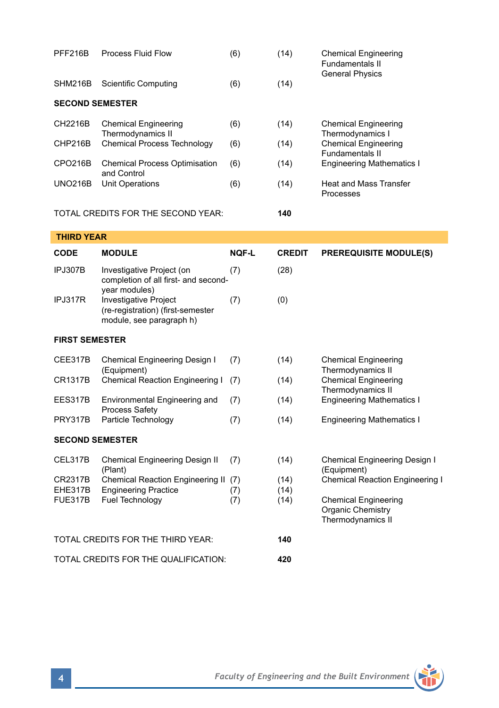| <b>PFF216B</b>                       | <b>Process Fluid Flow</b>                                                                                                           | (6)          | (14)                 | <b>Chemical Engineering</b><br>Fundamentals II<br><b>General Physics</b>                                                                                        |  |  |  |  |
|--------------------------------------|-------------------------------------------------------------------------------------------------------------------------------------|--------------|----------------------|-----------------------------------------------------------------------------------------------------------------------------------------------------------------|--|--|--|--|
| SHM216B                              | <b>Scientific Computing</b>                                                                                                         | (6)          | (14)                 |                                                                                                                                                                 |  |  |  |  |
| <b>SECOND SEMESTER</b>               |                                                                                                                                     |              |                      |                                                                                                                                                                 |  |  |  |  |
| CH2216B                              | <b>Chemical Engineering</b><br>Thermodynamics II<br><b>Chemical Process Technology</b>                                              | (6)          | (14)                 | <b>Chemical Engineering</b><br>Thermodynamics I<br><b>Chemical Engineering</b><br><b>Fundamentals II</b><br><b>Engineering Mathematics I</b>                    |  |  |  |  |
| CHP216B                              |                                                                                                                                     | (6)          | (14)                 |                                                                                                                                                                 |  |  |  |  |
| CPO216B                              | <b>Chemical Process Optimisation</b><br>and Control<br>Unit Operations                                                              | (6)          | (14)                 |                                                                                                                                                                 |  |  |  |  |
| <b>UNO216B</b>                       |                                                                                                                                     | (6)          | (14)                 | Heat and Mass Transfer<br>Processes                                                                                                                             |  |  |  |  |
| TOTAL CREDITS FOR THE SECOND YEAR:   |                                                                                                                                     | 140          |                      |                                                                                                                                                                 |  |  |  |  |
| <b>THIRD YEAR</b>                    |                                                                                                                                     |              |                      |                                                                                                                                                                 |  |  |  |  |
| <b>CODE</b>                          | <b>MODULE</b>                                                                                                                       | <b>NOF-L</b> | <b>CREDIT</b>        | <b>PREREQUISITE MODULE(S)</b>                                                                                                                                   |  |  |  |  |
| IPJ307B                              | Investigative Project (on<br>completion of all first- and second-<br>year modules)                                                  | (7)          | (28)                 |                                                                                                                                                                 |  |  |  |  |
| IPJ317R                              | Investigative Project<br>(re-registration) (first-semester<br>module, see paragraph h)                                              | (7)          | (0)                  |                                                                                                                                                                 |  |  |  |  |
| <b>FIRST SEMESTER</b>                |                                                                                                                                     |              |                      |                                                                                                                                                                 |  |  |  |  |
| CEE317B                              | Chemical Engineering Design I<br>(Equipment)<br>Chemical Reaction Engineering I                                                     | (7)          | (14)                 | <b>Chemical Engineering</b><br>Thermodynamics II<br><b>Chemical Engineering</b><br>Thermodynamics II                                                            |  |  |  |  |
| <b>CR1317B</b>                       |                                                                                                                                     | (7)          | (14)                 |                                                                                                                                                                 |  |  |  |  |
| EES317B                              | Environmental Engineering and<br>Process Safety                                                                                     | (7)          | (14)                 | <b>Engineering Mathematics I</b>                                                                                                                                |  |  |  |  |
| <b>PRY317B</b>                       | Particle Technology                                                                                                                 | (7)          | (14)                 | <b>Engineering Mathematics I</b>                                                                                                                                |  |  |  |  |
| <b>SECOND SEMESTER</b>               |                                                                                                                                     |              |                      |                                                                                                                                                                 |  |  |  |  |
| CEL317B                              | Chemical Engineering Design II<br>(Plant)<br>Chemical Reaction Engineering II (7)<br><b>Engineering Practice</b><br>Fuel Technology | (7)          | (14)                 | Chemical Engineering Design I<br>(Equipment)<br><b>Chemical Reaction Engineering I</b><br><b>Chemical Engineering</b><br>Organic Chemistry<br>Thermodynamics II |  |  |  |  |
| CR2317B<br>EHE317B<br><b>FUE317B</b> |                                                                                                                                     | (7)<br>(7)   | (14)<br>(14)<br>(14) |                                                                                                                                                                 |  |  |  |  |
|                                      | TOTAL CREDITS FOR THE THIRD YEAR:                                                                                                   |              | 140                  |                                                                                                                                                                 |  |  |  |  |
| TOTAL CREDITS FOR THE QUALIFICATION: |                                                                                                                                     |              | 420                  |                                                                                                                                                                 |  |  |  |  |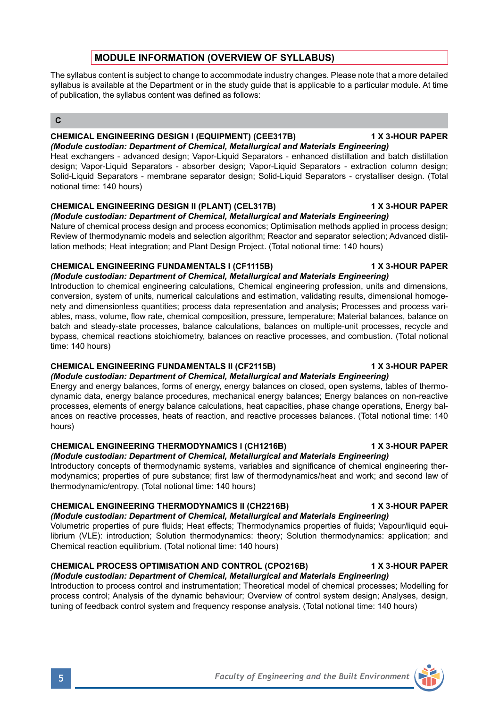# **MODULE INFORMATION (OVERVIEW OF SYLLABUS)**

The syllabus content is subject to change to accommodate industry changes. Please note that a more detailed syllabus is available at the Department or in the study quide that is applicable to a particular module. At time of publication, the syllabus content was defined as follows:

### **C**

# **CHEMICAL ENGINEERING DESIGN I (EQUIPMENT) (CEE317B) 1 X 3-HOUR PAPER**

*(Module custodian: Department of Chemical, Metallurgical and Materials Engineering)* Heat exchangers - advanced design; Vapor-Liquid Separators - enhanced distillation and batch distillation design; Vapor-Liquid Separators - absorber design; Vapor-Liquid Separators - extraction column design; Solid-Liquid Separators - membrane separator design; Solid-Liquid Separators - crystalliser design. (Total notional time: 140 hours)

## **CHEMICAL ENGINEERING DESIGN II (PLANT) (CEL317B) 1 X 3-HOUR PAPER**

*(Module custodian: Department of Chemical, Metallurgical and Materials Engineering)* Nature of chemical process design and process economics; Optimisation methods applied in process design; Review of thermodynamic models and selection algorithm; Reactor and separator selection; Advanced distillation methods; Heat integration; and Plant Design Project. (Total notional time: 140 hours)

## **CHEMICAL ENGINEERING FUNDAMENTALS I (CF1115B) 1 X 3-HOUR PAPER**

*(Module custodian: Department of Chemical, Metallurgical and Materials Engineering)* Introduction to chemical engineering calculations, Chemical engineering profession, units and dimensions, conversion, system of units, numerical calculations and estimation, validating results, dimensional homogenety and dimensionless quantities; process data representation and analysis; Processes and process variables, mass, volume, flow rate, chemical composition, pressure, temperature; Material balances, balance on batch and steady-state processes, balance calculations, balances on multiple-unit processes, recycle and bypass, chemical reactions stoichiometry, balances on reactive processes, and combustion. (Total notional time: 140 hours)

## **CHEMICAL ENGINEERING FUNDAMENTALS II (CF2115B) 1 X 3-HOUR PAPER**

*(Module custodian: Department of Chemical, Metallurgical and Materials Engineering)* Energy and energy balances, forms of energy, energy balances on closed, open systems, tables of thermodynamic data, energy balance procedures, mechanical energy balances; Energy balances on non-reactive processes, elements of energy balance calculations, heat capacities, phase change operations, Energy balances on reactive processes, heats of reaction, and reactive processes balances. (Total notional time: 140 hours)

# **CHEMICAL ENGINEERING THERMODYNAMICS I (CH1216B) 1 X 3-HOUR PAPER**

*(Module custodian: Department of Chemical, Metallurgical and Materials Engineering)* Introductory concepts of thermodynamic systems, variables and significance of chemical engineering thermodynamics; properties of pure substance; first law of thermodynamics/heat and work; and second law of thermodynamic/entropy. (Total notional time: 140 hours)

## **CHEMICAL ENGINEERING THERMODYNAMICS II (CH2216B) 1 X 3-HOUR PAPER**

*(Module custodian: Department of Chemical, Metallurgical and Materials Engineering)*

Volumetric properties of pure fluids; Heat effects; Thermodynamics properties of fluids; Vapour/liquid equilibrium (VLE): introduction; Solution thermodynamics: theory; Solution thermodynamics: application; and Chemical reaction equilibrium. (Total notional time: 140 hours)

## **CHEMICAL PROCESS OPTIMISATION AND CONTROL (CPO216B) 1 X 3-HOUR PAPER**

*(Module custodian: Department of Chemical, Metallurgical and Materials Engineering)* Introduction to process control and instrumentation; Theoretical model of chemical processes; Modelling for process control; Analysis of the dynamic behaviour; Overview of control system design; Analyses, design, tuning of feedback control system and frequency response analysis. (Total notional time: 140 hours)

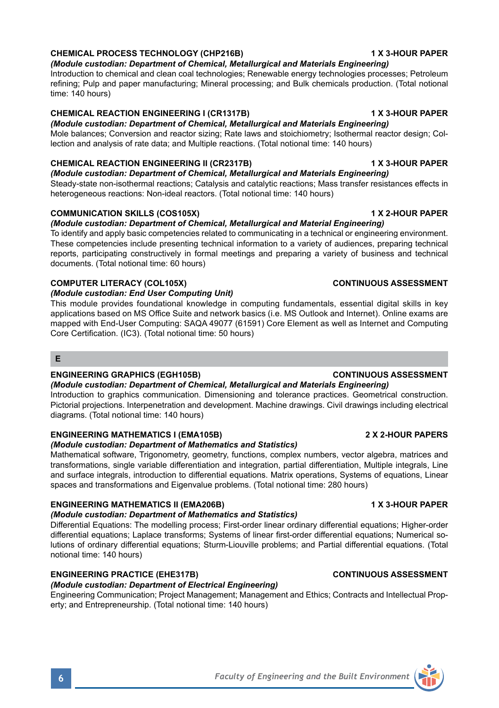# **CHEMICAL PROCESS TECHNOLOGY (CHP216B) 1 X 3-HOUR PAPER**

*(Module custodian: Department of Chemical, Metallurgical and Materials Engineering)* Introduction to chemical and clean coal technologies; Renewable energy technologies processes; Petroleum refining; Pulp and paper manufacturing; Mineral processing; and Bulk chemicals production. (Total notional time: 140 hours)

# **CHEMICAL REACTION ENGINEERING I (CR1317B) 1 X 3-HOUR PAPER**

*(Module custodian: Department of Chemical, Metallurgical and Materials Engineering)* Mole balances; Conversion and reactor sizing; Rate laws and stoichiometry; Isothermal reactor design; Collection and analysis of rate data; and Multiple reactions. (Total notional time: 140 hours)

# **CHEMICAL REACTION ENGINEERING II (CR2317B) 1 X 3-HOUR PAPER**

*(Module custodian: Department of Chemical, Metallurgical and Materials Engineering)* Steady-state non-isothermal reactions; Catalysis and catalytic reactions; Mass transfer resistances effects in heterogeneous reactions: Non-ideal reactors. (Total notional time: 140 hours)

# **COMMUNICATION SKILLS (COS105X)** 1 X 2-HOUR PAPER

# *(Module custodian: Department of Chemical, Metallurgical and Material Engineering)*

To identify and apply basic competencies related to communicating in a technical or engineering environment. These competencies include presenting technical information to a variety of audiences, preparing technical reports, participating constructively in formal meetings and preparing a variety of business and technical documents. (Total notional time: 60 hours)

# **COMPUTER LITERACY (COL105X) CONTINUOUS ASSESSMENT**

# *(Module custodian: End User Computing Unit)*

This module provides foundational knowledge in computing fundamentals, essential digital skills in key applications based on MS Office Suite and network basics (i.e. MS Outlook and Internet). Online exams are mapped with End-User Computing: SAQA 49077 (61591) Core Element as well as Internet and Computing Core Certification. (IC3). (Total notional time: 50 hours)

### **E**

## **ENGINEERING GRAPHICS (EGH105B) CONTINUOUS ASSESSMENT**

# *(Module custodian: Department of Chemical, Metallurgical and Materials Engineering)*

Introduction to graphics communication. Dimensioning and tolerance practices. Geometrical construction. Pictorial projections. Interpenetration and development. Machine drawings. Civil drawings including electrical diagrams. (Total notional time: 140 hours)

# **ENGINEERING MATHEMATICS I (EMA105B) 2 X 2-HOUR PAPERS**

# *(Module custodian: Department of Mathematics and Statistics)*

Mathematical software, Trigonometry, geometry, functions, complex numbers, vector algebra, matrices and transformations, single variable differentiation and integration, partial differentiation, Multiple integrals, Line and surface integrals, introduction to differential equations. Matrix operations, Systems of equations, Linear spaces and transformations and Eigenvalue problems. (Total notional time: 280 hours)

# **ENGINEERING MATHEMATICS II (EMA206B) 1 X 3-HOUR PAPER**

# *(Module custodian: Department of Mathematics and Statistics)*

Differential Equations: The modelling process; First-order linear ordinary differential equations; Higher-order differential equations; Laplace transforms; Systems of linear first-order differential equations; Numerical solutions of ordinary differential equations; Sturm-Liouville problems; and Partial differential equations. (Total notional time: 140 hours)

# **ENGINEERING PRACTICE (EHE317B) CONTINUOUS ASSESSMENT**

*(Module custodian: Department of Electrical Engineering)*

Engineering Communication; Project Management; Management and Ethics; Contracts and Intellectual Property; and Entrepreneurship. (Total notional time: 140 hours)

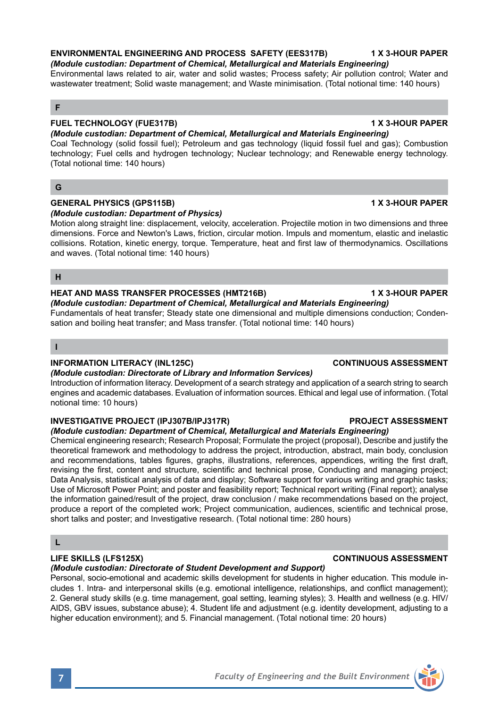### **ENVIRONMENTAL ENGINEERING AND PROCESS SAFETY (EES317B) 1 X 3-HOUR PAPER**

*(Module custodian: Department of Chemical, Metallurgical and Materials Engineering)* Environmental laws related to air, water and solid wastes; Process safety; Air pollution control; Water and wastewater treatment; Solid waste management; and Waste minimisation. (Total notional time: 140 hours)

### **F**

# **FUEL TECHNOLOGY (FUE317B) 1 X 3-HOUR PAPER**

*(Module custodian: Department of Chemical, Metallurgical and Materials Engineering)* Coal Technology (solid fossil fuel); Petroleum and gas technology (liquid fossil fuel and gas); Combustion technology; Fuel cells and hydrogen technology; Nuclear technology; and Renewable energy technology. (Total notional time: 140 hours)

## **G**

### **GENERAL PHYSICS (GPS115B) 1 X 3-HOUR PAPER** *(Module custodian: Department of Physics)*

Motion along straight line: displacement, velocity, acceleration. Projectile motion in two dimensions and three dimensions. Force and Newton's Laws, friction, circular motion. Impuls and momentum, elastic and inelastic collisions. Rotation, kinetic energy, torque. Temperature, heat and first law of thermodynamics. Oscillations and waves. (Total notional time: 140 hours)

### **H**

## **HEAT AND MASS TRANSFER PROCESSES (HMT216B) 1 X 3-HOUR PAPER**

*(Module custodian: Department of Chemical, Metallurgical and Materials Engineering)* Fundamentals of heat transfer; Steady state one dimensional and multiple dimensions conduction; Condensation and boiling heat transfer; and Mass transfer. (Total notional time: 140 hours)

### **I**

### **INFORMATION LITERACY (INL125C) CONTINUOUS ASSESSMENT**

### *(Module custodian: Directorate of Library and Information Services)*

Introduction of information literacy. Development of a search strategy and application of a search string to search engines and academic databases. Evaluation of information sources. Ethical and legal use of information. (Total notional time: 10 hours)

### **INVESTIGATIVE PROJECT (IPJ307B/IPJ317R) PROJECT ASSESSMENT**

*(Module custodian: Department of Chemical, Metallurgical and Materials Engineering)*

Chemical engineering research; Research Proposal; Formulate the project (proposal), Describe and justify the theoretical framework and methodology to address the project, introduction, abstract, main body, conclusion and recommendations, tables figures, graphs, illustrations, references, appendices, writing the first draft, revising the first, content and structure, scientific and technical prose, Conducting and managing project; Data Analysis, statistical analysis of data and display; Software support for various writing and graphic tasks; Use of Microsoft Power Point; and poster and feasibility report; Technical report writing (Final report); analyse the information gained/result of the project, draw conclusion / make recommendations based on the project, produce a report of the completed work; Project communication, audiences, scientific and technical prose, short talks and poster; and Investigative research. (Total notional time: 280 hours)

## **L**

# **LIFE SKILLS (LFS125X) CONTINUOUS ASSESSMENT**

# *(Module custodian: Directorate of Student Development and Support)*

Personal, socio-emotional and academic skills development for students in higher education. This module includes 1. Intra- and interpersonal skills (e.g. emotional intelligence, relationships, and conflict management); 2. General study skills (e.g. time management, goal setting, learning styles); 3. Health and wellness (e.g. HIV/ AIDS, GBV issues, substance abuse); 4. Student life and adjustment (e.g. identity development, adjusting to a higher education environment); and 5. Financial management. (Total notional time: 20 hours)

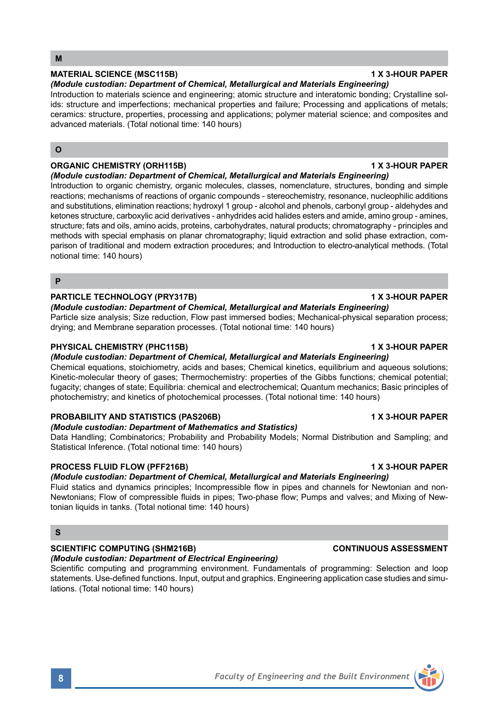## **MATERIAL SCIENCE (MSC115B) 1 X 3-HOUR PAPER**

*(Module custodian: Department of Chemical, Metallurgical and Materials Engineering)* Introduction to materials science and engineering; atomic structure and interatomic bonding; Crystalline solids: structure and imperfections; mechanical properties and failure; Processing and applications of metals;

ceramics: structure, properties, processing and applications; polymer material science; and composites and advanced materials. (Total notional time: 140 hours)

## **O**

## **ORGANIC CHEMISTRY (ORH115B) 1 X 3-HOUR PAPER**

*(Module custodian: Department of Chemical, Metallurgical and Materials Engineering)*

Introduction to organic chemistry, organic molecules, classes, nomenclature, structures, bonding and simple reactions; mechanisms of reactions of organic compounds - stereochemistry, resonance, nucleophilic additions and substitutions, elimination reactions; hydroxyl 1 group - alcohol and phenols, carbonyl group - aldehydes and ketones structure, carboxylic acid derivatives - anhydrides acid halides esters and amide, amino group - amines, structure; fats and oils, amino acids, proteins, carbohydrates, natural products; chromatography - principles and methods with special emphasis on planar chromatography; liquid extraction and solid phase extraction, comparison of traditional and modern extraction procedures; and Introduction to electro-analytical methods. (Total notional time: 140 hours)

### **P**

## **PARTICLE TECHNOLOGY (PRY317B) 1 X 3-HOUR PAPER**

*(Module custodian: Department of Chemical, Metallurgical and Materials Engineering)* Particle size analysis; Size reduction, Flow past immersed bodies; Mechanical-physical separation process; drying; and Membrane separation processes. (Total notional time: 140 hours)

## **PHYSICAL CHEMISTRY (PHC115B) 1 X 3-HOUR PAPER**

# *(Module custodian: Department of Chemical, Metallurgical and Materials Engineering)*

Chemical equations, stoichiometry, acids and bases; Chemical kinetics, equilibrium and aqueous solutions; Kinetic-molecular theory of gases; Thermochemistry: properties of the Gibbs functions; chemical potential; fugacity; changes of state; Equilibria: chemical and electrochemical; Quantum mechanics; Basic principles of photochemistry; and kinetics of photochemical processes. (Total notional time: 140 hours)

## **PROBABILITY AND STATISTICS (PAS206B) 1 X 3-HOUR PAPER**

# *(Module custodian: Department of Mathematics and Statistics)*

Data Handling; Combinatorics; Probability and Probability Models; Normal Distribution and Sampling; and Statistical Inference. (Total notional time: 140 hours)

# **PROCESS FLUID FLOW (PFF216B) 1 X 3-HOUR PAPER**

# *(Module custodian: Department of Chemical, Metallurgical and Materials Engineering)*

Fluid statics and dynamics principles; Incompressible flow in pipes and channels for Newtonian and non-Newtonians; Flow of compressible fluids in pipes; Two-phase flow; Pumps and valves; and Mixing of Newtonian liquids in tanks. (Total notional time: 140 hours)

## **S**

# **SCIENTIFIC COMPUTING (SHM216B) CONTINUOUS ASSESSMENT**

# *(Module custodian: Department of Electrical Engineering)*

Scientific computing and programming environment. Fundamentals of programming: Selection and loop statements. Use-defined functions. Input, output and graphics. Engineering application case studies and simulations. (Total notional time: 140 hours)